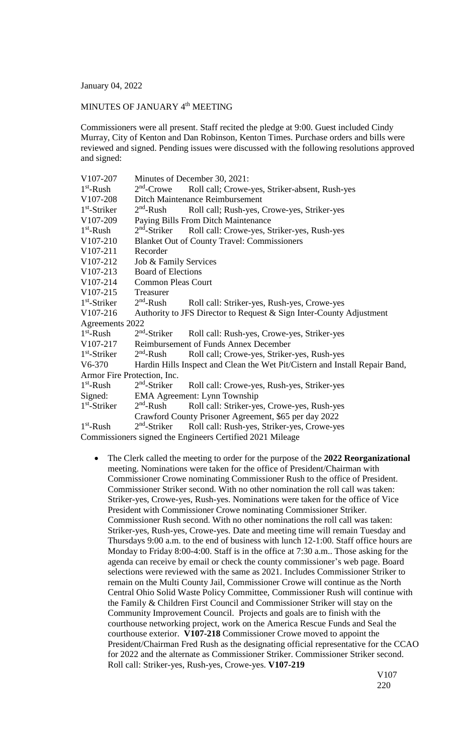January 04, 2022

## MINUTES OF JANUARY 4<sup>th</sup> MEETING

Commissioners were all present. Staff recited the pledge at 9:00. Guest included Cindy Murray, City of Kenton and Dan Robinson, Kenton Times. Purchase orders and bills were reviewed and signed. Pending issues were discussed with the following resolutions approved and signed:

| V107-207                    | Minutes of December 30, 2021:                                               |                                                           |
|-----------------------------|-----------------------------------------------------------------------------|-----------------------------------------------------------|
| $1st$ -Rush                 | $2nd$ -Crowe                                                                | Roll call; Crowe-yes, Striker-absent, Rush-yes            |
| V107-208                    | Ditch Maintenance Reimbursement                                             |                                                           |
| $1st$ -Striker              | $2nd$ -Rush                                                                 | Roll call; Rush-yes, Crowe-yes, Striker-yes               |
| V107-209                    | Paying Bills From Ditch Maintenance                                         |                                                           |
| $1st$ -Rush                 | $2nd$ -Striker                                                              | Roll call: Crowe-yes, Striker-yes, Rush-yes               |
| V107-210                    | <b>Blanket Out of County Travel: Commissioners</b>                          |                                                           |
| V107-211                    | Recorder                                                                    |                                                           |
| V107-212                    | Job & Family Services                                                       |                                                           |
| $V107-213$                  | <b>Board of Elections</b>                                                   |                                                           |
| V107-214                    | <b>Common Pleas Court</b>                                                   |                                                           |
| V107-215                    | Treasurer                                                                   |                                                           |
| $1st$ -Striker              | $2nd$ -Rush                                                                 | Roll call: Striker-yes, Rush-yes, Crowe-yes               |
| V107-216                    | Authority to JFS Director to Request & Sign Inter-County Adjustment         |                                                           |
| Agreements 2022             |                                                                             |                                                           |
| $1st$ -Rush                 | $2nd$ -Striker                                                              | Roll call: Rush-yes, Crowe-yes, Striker-yes               |
| V107-217                    | Reimbursement of Funds Annex December                                       |                                                           |
| $1st$ -Striker              | $2nd$ -Rush                                                                 | Roll call; Crowe-yes, Striker-yes, Rush-yes               |
| V6-370                      | Hardin Hills Inspect and Clean the Wet Pit/Cistern and Install Repair Band, |                                                           |
| Armor Fire Protection, Inc. |                                                                             |                                                           |
| $1st$ -Rush                 | $2nd$ -Striker                                                              | Roll call: Crowe-yes, Rush-yes, Striker-yes               |
| Signed:                     | EMA Agreement: Lynn Township                                                |                                                           |
| $1st$ -Striker              | $2nd$ -Rush                                                                 | Roll call: Striker-yes, Crowe-yes, Rush-yes               |
|                             | Crawford County Prisoner Agreement, \$65 per day 2022                       |                                                           |
| $1st$ -Rush                 | $2nd$ -Striker                                                              | Roll call: Rush-yes, Striker-yes, Crowe-yes               |
|                             |                                                                             | Commissioners signed the Engineers Certified 2021 Mileage |

 The Clerk called the meeting to order for the purpose of the **2022 Reorganizational** meeting. Nominations were taken for the office of President/Chairman with Commissioner Crowe nominating Commissioner Rush to the office of President. Commissioner Striker second. With no other nomination the roll call was taken: Striker-yes, Crowe-yes, Rush-yes. Nominations were taken for the office of Vice President with Commissioner Crowe nominating Commissioner Striker. Commissioner Rush second. With no other nominations the roll call was taken: Striker-yes, Rush-yes, Crowe-yes. Date and meeting time will remain Tuesday and Thursdays 9:00 a.m. to the end of business with lunch 12-1:00. Staff office hours are Monday to Friday 8:00-4:00. Staff is in the office at 7:30 a.m.. Those asking for the agenda can receive by email or check the county commissioner's web page. Board selections were reviewed with the same as 2021. Includes Commissioner Striker to remain on the Multi County Jail, Commissioner Crowe will continue as the North Central Ohio Solid Waste Policy Committee, Commissioner Rush will continue with the Family & Children First Council and Commissioner Striker will stay on the Community Improvement Council. Projects and goals are to finish with the courthouse networking project, work on the America Rescue Funds and Seal the courthouse exterior. **V107-218** Commissioner Crowe moved to appoint the President/Chairman Fred Rush as the designating official representative for the CCAO for 2022 and the alternate as Commissioner Striker. Commissioner Striker second. Roll call: Striker-yes, Rush-yes, Crowe-yes. **V107-219**

> V107 220